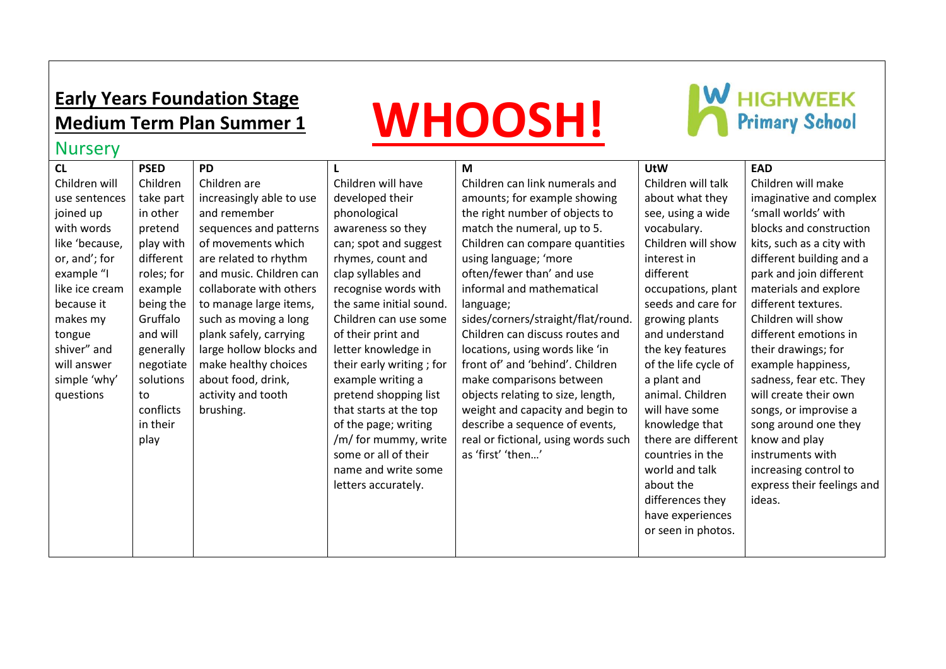## **Early Years Foundation Stage Medium Term Plan Summer 1**

# **WHOOSH!**



### **Nursery**

| CL             | <b>PSED</b> | <b>PD</b>                |                          | M                                   | <b>UtW</b>           | <b>EAD</b>                 |
|----------------|-------------|--------------------------|--------------------------|-------------------------------------|----------------------|----------------------------|
| Children will  | Children    | Children are             | Children will have       | Children can link numerals and      | Children will talk   | Children will make         |
| use sentences  | take part   | increasingly able to use | developed their          | amounts; for example showing        | about what they      | imaginative and complex    |
| joined up      | in other    | and remember             | phonological             | the right number of objects to      | see, using a wide    | 'small worlds' with        |
| with words     | pretend     | sequences and patterns   | awareness so they        | match the numeral, up to 5.         | vocabulary.          | blocks and construction    |
| like 'because, | play with   | of movements which       | can; spot and suggest    | Children can compare quantities     | Children will show   | kits, such as a city with  |
| or, and'; for  | different   | are related to rhythm    | rhymes, count and        | using language; 'more               | interest in          | different building and a   |
| example "I     | roles; for  | and music. Children can  | clap syllables and       | often/fewer than' and use           | different            | park and join different    |
| like ice cream | example     | collaborate with others  | recognise words with     | informal and mathematical           | occupations, plant   | materials and explore      |
| because it     | being the   | to manage large items,   | the same initial sound.  | language;                           | seeds and care for   | different textures.        |
| makes my       | Gruffalo    | such as moving a long    | Children can use some    | sides/corners/straight/flat/round.  | growing plants       | Children will show         |
| tongue         | and will    | plank safely, carrying   | of their print and       | Children can discuss routes and     | and understand       | different emotions in      |
| shiver" and    | generally   | large hollow blocks and  | letter knowledge in      | locations, using words like 'in     | the key features     | their drawings; for        |
| will answer    | negotiate   | make healthy choices     | their early writing; for | front of' and 'behind'. Children    | of the life cycle of | example happiness,         |
| simple 'why'   | solutions   | about food, drink,       | example writing a        | make comparisons between            | a plant and          | sadness, fear etc. They    |
| questions      | to          | activity and tooth       | pretend shopping list    | objects relating to size, length,   | animal. Children     | will create their own      |
|                | conflicts   | brushing.                | that starts at the top   | weight and capacity and begin to    | will have some       | songs, or improvise a      |
|                | in their    |                          | of the page; writing     | describe a sequence of events,      | knowledge that       | song around one they       |
|                | play        |                          | /m/ for mummy, write     | real or fictional, using words such | there are different  | know and play              |
|                |             |                          | some or all of their     | as 'first' 'then'                   | countries in the     | instruments with           |
|                |             |                          | name and write some      |                                     | world and talk       | increasing control to      |
|                |             |                          | letters accurately.      |                                     | about the            | express their feelings and |
|                |             |                          |                          |                                     | differences they     | ideas.                     |
|                |             |                          |                          |                                     | have experiences     |                            |
|                |             |                          |                          |                                     | or seen in photos.   |                            |
|                |             |                          |                          |                                     |                      |                            |